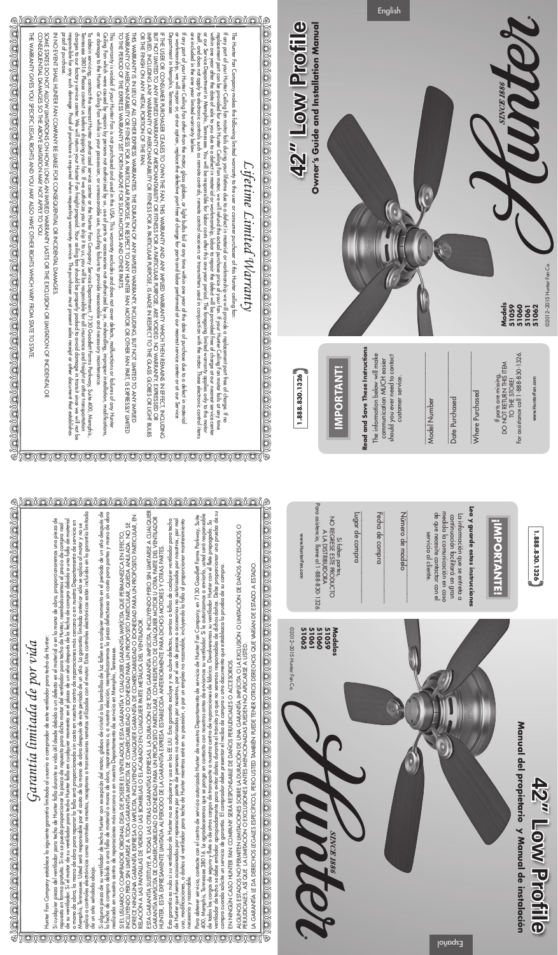## Garantía limitada de por vida *Garantía limitada de por vida*

Hunter Fan Company establece la siguiente garantía limitada al usuario o comprador de este ventilador para techo de Hunter: Hunter Fan Company establece la siguiente garantía limitada al usuario o comprador de este ventilador para techo de Hunter:

rrempins, remessoc. osica sera responsable per er es remotos, receptores o transmisores remotos utilizados con el motor. Estos controles electrónicos están incluidos en la garantía limitada<br>de un año señalada abajo.<br>de un aplica a controles electrónicos como controles remotos, receptores o transmisores remotos utilizados con el motor. Estos controles electrónicos están incluidos en la garantía limitada Si cualquier pieza del venillador para techo de Hunter falla durante su vida útil desde debido a un defecto en el material o en la mano de obra, proporcionaremos una pieza de<br>repuesto en forma gratuita. Si no se puede prop Si cualquier pieza del ventilador para techo de Hunter falla durante su vida útil desde debido a un defecto en el material o en la mano de obra, proporcionaremos una pieza de o mano de obra, la mano de obra para reparar la falla será proporcionada sin costo en nuestro centro de reparaciones más cercano o en nuestro Departamento de servicio en<br>Memphis, Tennessee. Usted será responsable por el co repuesto en forma gratuita. Si no se puede proporcionar la pieza de repuesto para dicho motor del ventilador para techo de Hunter, reembolsaremos el precio de compra real<br>de su ventilador. Si el motor de su ventilador para Memphis, Tennessee. Usted será responsable por el costo de la mano de obra después de este período de un año. La garantía limitada anterior sólo se aplica al motor y no se de un año señalada abajo.

OMOMO)

Si alguna pieza de su ventilador de techo Hunter con excepción del motor, globos de cristal o las bombillas de luz fallen en cualquier momento en el período de un año después de<br>la fecha de compra debido a una falla de mat Si alguna pieza de su ventilador de techo Hunter con excepción del motor, globos de cristal o las bombillas de luz fallen en cualquier momento en el período de un año después de<br>la fecha de compra debido a una falla de mat realizada en nuestro centro de reparaciones más cercano o en nuestro Departamento de servicio en Memphis, Tennessee.  $\circledcirc$ 

si el usuario o comprador original deja de poseer el ventilador, esta garantía y cualquier garantía implícita que permanezca en efecto,<br>Incluyendo pero sin limitarse a toda garantía implícita de comerciabilidad o idoneidad SI EL USUARIO O COMPRADOR ORIGINAL DEJA DE POSEER EL VENTILADOR, ESTA GARANTÍA Y CUALQUIER GARANTÍA IMPLÍCITA QUE PERMANEZCA EN EFECTO,<br>INCLUYENDO PERO SIN LIMITARSE A TODA GARANTÍA IMPLÍCITA DE COMERCIABILIDAD O IDONEIDAD

esta garantía, sustituye a todas las otras garantías expresas. La duración de toda garantía implícita, incluyendo pero sin limitarse a cualquier<br>Garantía implícita de comerciabilidad o idoneidad para un propósito particula esta garantía sustituye a todas las otras garantías expresas. La duración de toda garantía implícita, incluyendo pero sin limitarse a cualquier<br>Garantía implícita de comerciabilidad o idoneidad para un propósito particular

OX

 $\circled{\pi}$ 

Esta garantía es nula si su ventilador de Hunter no se adquiere y usa en los EE.UU. Esta garantía excluye y no cubre defectos, averías o fallas de cualquier ventilador para techo<br>de Hunter que fueran ocasionados por repara Esta garantía es nula si su ventilador de Hunter no se adquiere y usa en los EE.UU. Esta garantía excluye y no cubre defectos, averías o fallas de cualquier ventilador para techo de Hunter que fueran ocasionados por reparaciones por parte de personas no autorizadas por nosotrós, por el uso de piezas o accesorios no autorizados por nosotrós, por mal<br>uso, modificaciones, o daños al ventilador para te necesario y razonable.

Para obtener servicio, contacte con el centro de servicio autorizado Hunter de nuestro Departamento de servicio de Hunter Fan Company, en 7130 Goodlett Farms Parkway, Suite<br>400, Memphis, Tennessee 38016. Le agradeceremos q ventilador de techo se debe embalar apropiadamente para evitar daños durante el tránsito ya que no seremos responsables de dichos daños. Debe proporcionar una prueba de su 400, Memphis, Tennessee 38016. Le agradeceremos que se ponga en contacto con nosotros antes de enviarnos su ventilador. Si le autorizamos a enviarlo, usted será responsable<br>de todos los cargos de seguro y flete o de otros Para obtener servicio, contacte con el centro de servicio autorizado Hunter de nuestro Departamento de servicio de Hunter Fan Company, en 7130 Goodlett Farms Parkway, Suite compra cuando solicite un servicio de garantía. El comprador debe presentar el recibo de compra u otro documento que establezca la prueba de su compra.

 $\circledcirc$ 

 $\circledcirc$ 

O)

EN NINGÚN CASO HUNTER FAN COMPANY SERÁ RESPONSABLE DE DAÑOS PERJUDICIALES O ACCESORIOS. EN NINGÚN CASO HUNTER FAN COMPANY SERÁ RESPONSABLE DE DAÑOS PERJUDICIALES O ACCESORIOS.

LA GARANTÍA LE DA DERECHOS LEGALES ESPECÍFICOS, PERO USTED TAMBIÉN PUEDE TENER OTROS DERECHOS QUE VARÍAN DE ESTADO A ESTADO LA GARANTÍA LE DA DERECHOS LEGALES ESPECÍFICOS, PERO USTED TAMBIÉN PUEDE TENER OTROS DERECHOS QUE VARÍAN DE ESTADO A ESTADO.



Para asistencia, llame al 1-888-830-1326.

NO REGRESE ESTE PRODUCTO A LA DISTRIBUIDORA LA DISTRIBUIDORA Si faltan partes,

ALGUNOS ESTADOS NO PERMITEN LIMITACIONES SOBRE LA DURACIÓN DE UNA GARANTÍA IMPLÍCITA O LA EXCLUSIÓN O LIMITACIÓN DE DAÑOS ACCESORIOS O ALGUNOS ESTADOS NO PERMITEN LIMITACIONES SOBRE LA DURACIÓN DE UNA GARANTÍA IMPLÍCITA O LA EXCLUSIÓN O LIMITACIÓN DE DAÑOS ACCESORIOS O<br>PERJUDICIALES, ASÍ QUE LA LIMITACIÓN O EXCLUSIONES ANTES MENCIONADAS PUEDEN NO APLICAR PERJUDICIALES, ASÍ QUE LA LIMITACIÓN O EXCLUSIONES ANTES MENCIONADAS PUEDEN NO APLICARSE A USTED.

Español

**42" Low Profile**

42" Low Profile



www.HunterFan.com

www.HunterFan.com

| The state of the state of the state of the state of the state of the state of the state of the state of the st<br>EN EN EN EN EN EN 1997. | ファンランク<br>י<br>ו<br>ハナヘスト<br>ſ<br>7<br>ℌ<br>I |
|-------------------------------------------------------------------------------------------------------------------------------------------|-----------------------------------------------|
|-------------------------------------------------------------------------------------------------------------------------------------------|-----------------------------------------------|

**1.888.830.1326**

1.888.830.1326

servicio al cliente.

servicio al cliente.

ea y gua

 $\ddot{\bar{\mathbf{z}}}$ 

Lugar de compra

Lugar de

compra

Fecha de compra

Si faltan partes,

Fecha de compra

NOREC  $\triangleright$ 

Número de modelo

de modelo

Número

Para asistencia, llame al 1-888-830-1326.